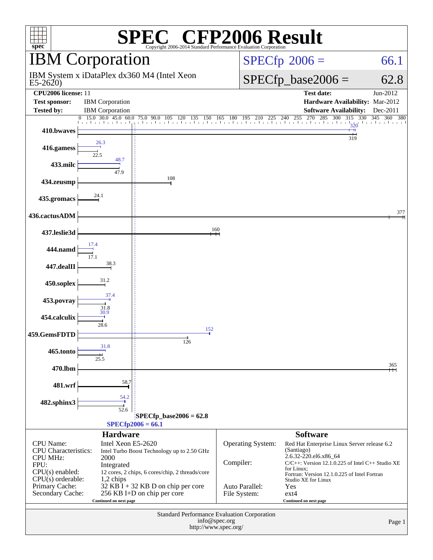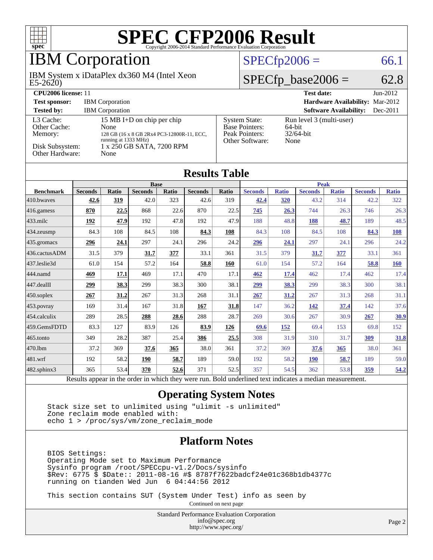

### IBM Corporation

 $E5-2620$ IBM System x iDataPlex dx360 M4 (Intel Xeon

### $SPECfp2006 = 66.1$  $SPECfp2006 = 66.1$

### $SPECfp\_base2006 = 62.8$

| <b>CPU2006 license: 11</b>                                                 |                                                                                                                                               |                                                                                    | <b>Test date:</b><br>$Jun-2012$                            |
|----------------------------------------------------------------------------|-----------------------------------------------------------------------------------------------------------------------------------------------|------------------------------------------------------------------------------------|------------------------------------------------------------|
| <b>Test sponsor:</b>                                                       | <b>IBM</b> Corporation                                                                                                                        |                                                                                    | <b>Hardware Availability: Mar-2012</b>                     |
| <b>Tested by:</b>                                                          | <b>IBM</b> Corporation                                                                                                                        |                                                                                    | <b>Software Availability:</b><br>$Dec-2011$                |
| L3 Cache:<br>Other Cache:<br>Memory:<br>Disk Subsystem:<br>Other Hardware: | 15 MB I+D on chip per chip<br>None<br>128 GB (16 x 8 GB 2Rx4 PC3-12800R-11, ECC,<br>running at 1333 MHz)<br>1 x 250 GB SATA, 7200 RPM<br>None | <b>System State:</b><br><b>Base Pointers:</b><br>Peak Pointers:<br>Other Software: | Run level 3 (multi-user)<br>64-bit<br>$32/64$ -bit<br>None |

**[Results Table](http://www.spec.org/auto/cpu2006/Docs/result-fields.html#ResultsTable)**

| Results Table    |                                                |       |                |       |                    |              |                                                                |              |                  |              |                |              |
|------------------|------------------------------------------------|-------|----------------|-------|--------------------|--------------|----------------------------------------------------------------|--------------|------------------|--------------|----------------|--------------|
|                  | <b>Base</b>                                    |       |                |       |                    | <b>Peak</b>  |                                                                |              |                  |              |                |              |
| <b>Benchmark</b> | <b>Seconds</b>                                 | Ratio | <b>Seconds</b> | Ratio | <b>Seconds</b>     | <b>Ratio</b> | <b>Seconds</b>                                                 | <b>Ratio</b> | <b>Seconds</b>   | <b>Ratio</b> | <b>Seconds</b> | <b>Ratio</b> |
| 410.bwayes       | 42.6                                           | 319   | 42.0           | 323   | 42.6               | 319          | 42.4                                                           | 320          | 43.2             | 314          | 42.2           | 322          |
| 416.gamess       | 870                                            | 22.5  | 868            | 22.6  | 870                | 22.5         | 745                                                            | 26.3         | 744              | 26.3         | 746            | 26.3         |
| 433.milc         | 192                                            | 47.9  | 192            | 47.8  | 192                | 47.9         | 188                                                            | 48.8         | 188              | 48.7         | 189            | 48.5         |
| 434.zeusmp       | 84.3                                           | 108   | 84.5           | 108   | 84.3               | 108          | 84.3                                                           | 108          | 84.5             | 108          | 84.3           | <u>108</u>   |
| 435.gromacs      | 296                                            | 24.1  | 297            | 24.1  | 296                | 24.2         | 296                                                            | 24.1         | 297              | 24.1         | 296            | 24.2         |
| 436.cactusADM    | 31.5                                           | 379   | 31.7           | 377   | 33.1               | 361          | 31.5                                                           | 379          | 31.7             | 377          | 33.1           | 361          |
| 437.leslie3d     | 61.0                                           | 154   | 57.2           | 164   | 58.8               | 160          | 61.0                                                           | 154          | 57.2             | 164          | 58.8           | <b>160</b>   |
| 444.namd         | 469                                            | 17.1  | 469            | 17.1  | 470                | 17.1         | 462                                                            | 17.4         | 462              | 17.4         | 462            | 17.4         |
| 447.dealII       | 299                                            | 38.3  | 299            | 38.3  | 300                | 38.1         | 299                                                            | 38.3         | 299              | 38.3         | 300            | 38.1         |
| 450.soplex       | 267                                            | 31.2  | 267            | 31.3  | 268                | 31.1         | 267                                                            | 31.2         | 267              | 31.3         | 268            | 31.1         |
| 453.povray       | 169                                            | 31.4  | 167            | 31.8  | 167                | 31.8         | 147                                                            | 36.2         | 142              | 37.4         | 142            | 37.6         |
| 454.calculix     | 289                                            | 28.5  | 288            | 28.6  | 288                | 28.7         | 269                                                            | 30.6         | 267              | 30.9         | 267            | <u>30.9</u>  |
| 459.GemsFDTD     | 83.3                                           | 127   | 83.9           | 126   | 83.9               | 126          | 69.6                                                           | <u>152</u>   | 69.4             | 153          | 69.8           | 152          |
| 465.tonto        | 349                                            | 28.2  | 387            | 25.4  | 386                | 25.5         | 308                                                            | 31.9         | 310              | 31.7         | 309            | 31.8         |
| 470.1bm          | 37.2                                           | 369   | 37.6           | 365   | 38.0               | 361          | 37.2                                                           | 369          | 37.6             | 365          | 38.0           | 361          |
| 481.wrf          | 192                                            | 58.2  | 190            | 58.7  | 189                | 59.0         | 192                                                            | 58.2         | <b>190</b>       | 58.7         | 189            | 59.0         |
| 482.sphinx3      | 365                                            | 53.4  | 370            | 52.6  | 371                | 52.5         | 357                                                            | 54.5         | 362              | 53.8         | 359            | 54.2         |
|                  | Descrite encourage in the condancing soldiers. |       |                |       | Alanda dan ang mga |              | That do considerations of the continuation of the state of the |              | المدامة الأمالية |              |                |              |

Results appear in the [order in which they were run.](http://www.spec.org/auto/cpu2006/Docs/result-fields.html#RunOrder) Bold underlined text [indicates a median measurement.](http://www.spec.org/auto/cpu2006/Docs/result-fields.html#Median)

#### **[Operating System Notes](http://www.spec.org/auto/cpu2006/Docs/result-fields.html#OperatingSystemNotes)**

 Stack size set to unlimited using "ulimit -s unlimited" Zone reclaim mode enabled with: echo 1 > /proc/sys/vm/zone\_reclaim\_mode

#### **[Platform Notes](http://www.spec.org/auto/cpu2006/Docs/result-fields.html#PlatformNotes)**

 BIOS Settings: Operating Mode set to Maximum Performance Sysinfo program /root/SPECcpu-v1.2/Docs/sysinfo \$Rev: 6775 \$ \$Date:: 2011-08-16 #\$ 8787f7622badcf24e01c368b1db4377c running on tianden Wed Jun 6 04:44:56 2012

This section contains SUT (System Under Test) info as seen by

Continued on next page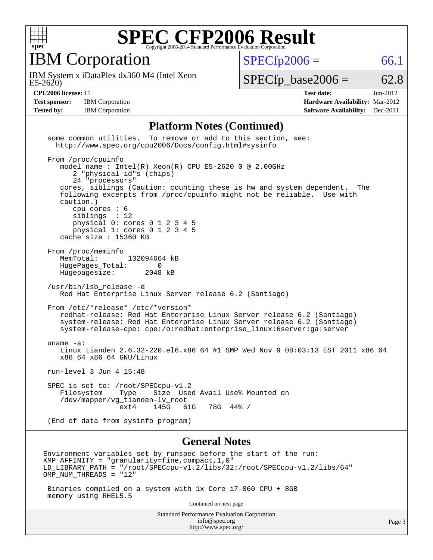

IBM Corporation

 $E5-2620$ IBM System x iDataPlex dx360 M4 (Intel Xeon  $SPECTp2006 = 66.1$ 

 $SPECTp\_base2006 = 62.8$ 

**[Test sponsor:](http://www.spec.org/auto/cpu2006/Docs/result-fields.html#Testsponsor)** IBM Corporation **[Hardware Availability:](http://www.spec.org/auto/cpu2006/Docs/result-fields.html#HardwareAvailability)** Mar-2012

**[CPU2006 license:](http://www.spec.org/auto/cpu2006/Docs/result-fields.html#CPU2006license)** 11 **[Test date:](http://www.spec.org/auto/cpu2006/Docs/result-fields.html#Testdate)** Jun-2012 **[Tested by:](http://www.spec.org/auto/cpu2006/Docs/result-fields.html#Testedby)** IBM Corporation **[Software Availability:](http://www.spec.org/auto/cpu2006/Docs/result-fields.html#SoftwareAvailability)** Dec-2011

#### **[Platform Notes \(Continued\)](http://www.spec.org/auto/cpu2006/Docs/result-fields.html#PlatformNotes)**

 some common utilities. To remove or add to this section, see: <http://www.spec.org/cpu2006/Docs/config.html#sysinfo> From /proc/cpuinfo model name : Intel(R) Xeon(R) CPU E5-2620 0 @ 2.00GHz 2 "physical id"s (chips) 24 "processors" cores, siblings (Caution: counting these is hw and system dependent. The following excerpts from /proc/cpuinfo might not be reliable. Use with caution.) cpu cores : 6 siblings : 12 physical 0: cores 0 1 2 3 4 5 physical 1: cores 0 1 2 3 4 5 cache size : 15360 KB From /proc/meminfo MemTotal: 132094664 kB HugePages\_Total: 0<br>Hugepagesize: 2048 kB Hugepagesize: /usr/bin/lsb\_release -d Red Hat Enterprise Linux Server release 6.2 (Santiago) From /etc/\*release\* /etc/\*version\* redhat-release: Red Hat Enterprise Linux Server release 6.2 (Santiago) system-release: Red Hat Enterprise Linux Server release 6.2 (Santiago) system-release-cpe: cpe:/o:redhat:enterprise\_linux:6server:ga:server uname -a: Linux tianden 2.6.32-220.el6.x86\_64 #1 SMP Wed Nov 9 08:03:13 EST 2011 x86\_64 x86\_64 x86\_64 GNU/Linux run-level 3 Jun 4 15:48 SPEC is set to: /root/SPECcpu-v1.2 Filesystem Type Size Used Avail Use% Mounted on /dev/mapper/vg\_tianden-lv\_root 61G 78G 44% / (End of data from sysinfo program) **[General Notes](http://www.spec.org/auto/cpu2006/Docs/result-fields.html#GeneralNotes)** Environment variables set by runspec before the start of the run: KMP AFFINITY = "granularity=fine, compact,  $1,0$ " LD\_LIBRARY\_PATH = "/root/SPECcpu-v1.2/libs/32:/root/SPECcpu-v1.2/libs/64" OMP\_NUM\_THREADS = "12" Binaries compiled on a system with 1x Core i7-860 CPU + 8GB memory using RHEL5.5

Continued on next page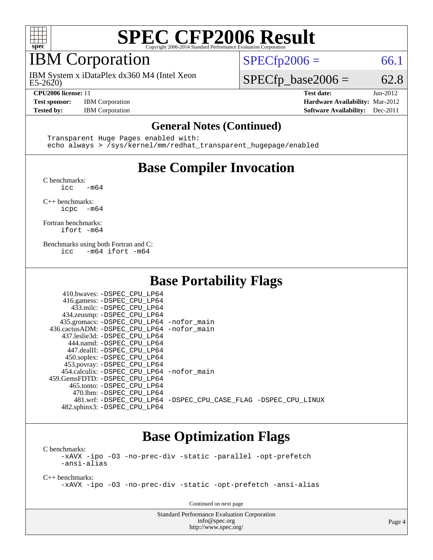

### IBM Corporation

 $E5-2620$ IBM System x iDataPlex dx360 M4 (Intel Xeon

 $SPECTp2006 = 66.1$ 

 $SPECTp\_base2006 = 62.8$ 

**[CPU2006 license:](http://www.spec.org/auto/cpu2006/Docs/result-fields.html#CPU2006license)** 11 **[Test date:](http://www.spec.org/auto/cpu2006/Docs/result-fields.html#Testdate)** Jun-2012 **[Test sponsor:](http://www.spec.org/auto/cpu2006/Docs/result-fields.html#Testsponsor)** IBM Corporation **[Hardware Availability:](http://www.spec.org/auto/cpu2006/Docs/result-fields.html#HardwareAvailability)** Mar-2012 **[Tested by:](http://www.spec.org/auto/cpu2006/Docs/result-fields.html#Testedby)** IBM Corporation **[Software Availability:](http://www.spec.org/auto/cpu2006/Docs/result-fields.html#SoftwareAvailability)** Dec-2011

#### **[General Notes \(Continued\)](http://www.spec.org/auto/cpu2006/Docs/result-fields.html#GeneralNotes)**

 Transparent Huge Pages enabled with: echo always > /sys/kernel/mm/redhat\_transparent\_hugepage/enabled

### **[Base Compiler Invocation](http://www.spec.org/auto/cpu2006/Docs/result-fields.html#BaseCompilerInvocation)**

[C benchmarks](http://www.spec.org/auto/cpu2006/Docs/result-fields.html#Cbenchmarks):

 $\frac{1}{2}$ cc  $-\text{m64}$ 

[C++ benchmarks:](http://www.spec.org/auto/cpu2006/Docs/result-fields.html#CXXbenchmarks) [icpc -m64](http://www.spec.org/cpu2006/results/res2012q3/cpu2006-20120628-23205.flags.html#user_CXXbase_intel_icpc_64bit_bedb90c1146cab66620883ef4f41a67e)

[Fortran benchmarks](http://www.spec.org/auto/cpu2006/Docs/result-fields.html#Fortranbenchmarks): [ifort -m64](http://www.spec.org/cpu2006/results/res2012q3/cpu2006-20120628-23205.flags.html#user_FCbase_intel_ifort_64bit_ee9d0fb25645d0210d97eb0527dcc06e)

[Benchmarks using both Fortran and C](http://www.spec.org/auto/cpu2006/Docs/result-fields.html#BenchmarksusingbothFortranandC): [icc -m64](http://www.spec.org/cpu2006/results/res2012q3/cpu2006-20120628-23205.flags.html#user_CC_FCbase_intel_icc_64bit_0b7121f5ab7cfabee23d88897260401c) [ifort -m64](http://www.spec.org/cpu2006/results/res2012q3/cpu2006-20120628-23205.flags.html#user_CC_FCbase_intel_ifort_64bit_ee9d0fb25645d0210d97eb0527dcc06e)

### **[Base Portability Flags](http://www.spec.org/auto/cpu2006/Docs/result-fields.html#BasePortabilityFlags)**

| 410.bwaves: -DSPEC CPU LP64                 |                                                                |
|---------------------------------------------|----------------------------------------------------------------|
| 416.gamess: -DSPEC_CPU_LP64                 |                                                                |
| 433.milc: -DSPEC CPU LP64                   |                                                                |
| 434.zeusmp: -DSPEC_CPU_LP64                 |                                                                |
| 435.gromacs: -DSPEC_CPU_LP64 -nofor_main    |                                                                |
| 436.cactusADM: -DSPEC_CPU_LP64 -nofor main  |                                                                |
| 437.leslie3d: -DSPEC CPU LP64               |                                                                |
| 444.namd: -DSPEC CPU LP64                   |                                                                |
| 447.dealII: -DSPEC CPU LP64                 |                                                                |
| 450.soplex: -DSPEC CPU LP64                 |                                                                |
| 453.povray: -DSPEC_CPU_LP64                 |                                                                |
| 454.calculix: - DSPEC CPU LP64 - nofor main |                                                                |
| 459. GemsFDTD: - DSPEC CPU LP64             |                                                                |
| 465.tonto: -DSPEC CPU LP64                  |                                                                |
| 470.1bm: - DSPEC CPU LP64                   |                                                                |
|                                             | 481.wrf: -DSPEC CPU LP64 -DSPEC CPU CASE FLAG -DSPEC CPU LINUX |
| 482.sphinx3: -DSPEC_CPU_LP64                |                                                                |

### **[Base Optimization Flags](http://www.spec.org/auto/cpu2006/Docs/result-fields.html#BaseOptimizationFlags)**

[C benchmarks](http://www.spec.org/auto/cpu2006/Docs/result-fields.html#Cbenchmarks): [-xAVX](http://www.spec.org/cpu2006/results/res2012q3/cpu2006-20120628-23205.flags.html#user_CCbase_f-xAVX) [-ipo](http://www.spec.org/cpu2006/results/res2012q3/cpu2006-20120628-23205.flags.html#user_CCbase_f-ipo) [-O3](http://www.spec.org/cpu2006/results/res2012q3/cpu2006-20120628-23205.flags.html#user_CCbase_f-O3) [-no-prec-div](http://www.spec.org/cpu2006/results/res2012q3/cpu2006-20120628-23205.flags.html#user_CCbase_f-no-prec-div) [-static](http://www.spec.org/cpu2006/results/res2012q3/cpu2006-20120628-23205.flags.html#user_CCbase_f-static) [-parallel](http://www.spec.org/cpu2006/results/res2012q3/cpu2006-20120628-23205.flags.html#user_CCbase_f-parallel) [-opt-prefetch](http://www.spec.org/cpu2006/results/res2012q3/cpu2006-20120628-23205.flags.html#user_CCbase_f-opt-prefetch) [-ansi-alias](http://www.spec.org/cpu2006/results/res2012q3/cpu2006-20120628-23205.flags.html#user_CCbase_f-ansi-alias)

[C++ benchmarks:](http://www.spec.org/auto/cpu2006/Docs/result-fields.html#CXXbenchmarks) [-xAVX](http://www.spec.org/cpu2006/results/res2012q3/cpu2006-20120628-23205.flags.html#user_CXXbase_f-xAVX) [-ipo](http://www.spec.org/cpu2006/results/res2012q3/cpu2006-20120628-23205.flags.html#user_CXXbase_f-ipo) [-O3](http://www.spec.org/cpu2006/results/res2012q3/cpu2006-20120628-23205.flags.html#user_CXXbase_f-O3) [-no-prec-div](http://www.spec.org/cpu2006/results/res2012q3/cpu2006-20120628-23205.flags.html#user_CXXbase_f-no-prec-div) [-static](http://www.spec.org/cpu2006/results/res2012q3/cpu2006-20120628-23205.flags.html#user_CXXbase_f-static) [-opt-prefetch](http://www.spec.org/cpu2006/results/res2012q3/cpu2006-20120628-23205.flags.html#user_CXXbase_f-opt-prefetch) [-ansi-alias](http://www.spec.org/cpu2006/results/res2012q3/cpu2006-20120628-23205.flags.html#user_CXXbase_f-ansi-alias)

Continued on next page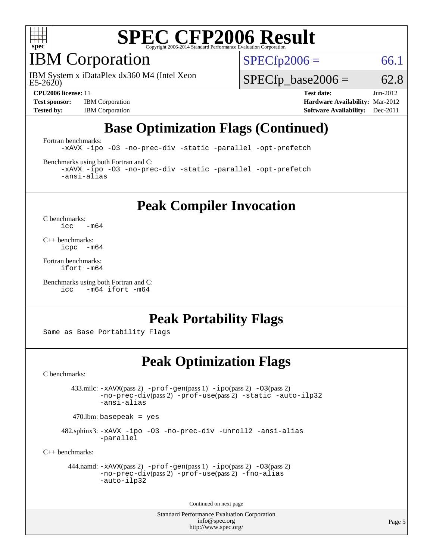

### IBM Corporation

 $E5-2620$ IBM System x iDataPlex dx360 M4 (Intel Xeon  $SPECTp2006 = 66.1$ 

 $SPECTp\_base2006 = 62.8$ 

**[Test sponsor:](http://www.spec.org/auto/cpu2006/Docs/result-fields.html#Testsponsor)** IBM Corporation **[Hardware Availability:](http://www.spec.org/auto/cpu2006/Docs/result-fields.html#HardwareAvailability)** Mar-2012

**[CPU2006 license:](http://www.spec.org/auto/cpu2006/Docs/result-fields.html#CPU2006license)** 11 **[Test date:](http://www.spec.org/auto/cpu2006/Docs/result-fields.html#Testdate)** Jun-2012 **[Tested by:](http://www.spec.org/auto/cpu2006/Docs/result-fields.html#Testedby)** IBM Corporation **[Software Availability:](http://www.spec.org/auto/cpu2006/Docs/result-fields.html#SoftwareAvailability)** Dec-2011

### **[Base Optimization Flags \(Continued\)](http://www.spec.org/auto/cpu2006/Docs/result-fields.html#BaseOptimizationFlags)**

[Fortran benchmarks](http://www.spec.org/auto/cpu2006/Docs/result-fields.html#Fortranbenchmarks):

[-xAVX](http://www.spec.org/cpu2006/results/res2012q3/cpu2006-20120628-23205.flags.html#user_FCbase_f-xAVX) [-ipo](http://www.spec.org/cpu2006/results/res2012q3/cpu2006-20120628-23205.flags.html#user_FCbase_f-ipo) [-O3](http://www.spec.org/cpu2006/results/res2012q3/cpu2006-20120628-23205.flags.html#user_FCbase_f-O3) [-no-prec-div](http://www.spec.org/cpu2006/results/res2012q3/cpu2006-20120628-23205.flags.html#user_FCbase_f-no-prec-div) [-static](http://www.spec.org/cpu2006/results/res2012q3/cpu2006-20120628-23205.flags.html#user_FCbase_f-static) [-parallel](http://www.spec.org/cpu2006/results/res2012q3/cpu2006-20120628-23205.flags.html#user_FCbase_f-parallel) [-opt-prefetch](http://www.spec.org/cpu2006/results/res2012q3/cpu2006-20120628-23205.flags.html#user_FCbase_f-opt-prefetch)

[Benchmarks using both Fortran and C](http://www.spec.org/auto/cpu2006/Docs/result-fields.html#BenchmarksusingbothFortranandC):

[-xAVX](http://www.spec.org/cpu2006/results/res2012q3/cpu2006-20120628-23205.flags.html#user_CC_FCbase_f-xAVX) [-ipo](http://www.spec.org/cpu2006/results/res2012q3/cpu2006-20120628-23205.flags.html#user_CC_FCbase_f-ipo) [-O3](http://www.spec.org/cpu2006/results/res2012q3/cpu2006-20120628-23205.flags.html#user_CC_FCbase_f-O3) [-no-prec-div](http://www.spec.org/cpu2006/results/res2012q3/cpu2006-20120628-23205.flags.html#user_CC_FCbase_f-no-prec-div) [-static](http://www.spec.org/cpu2006/results/res2012q3/cpu2006-20120628-23205.flags.html#user_CC_FCbase_f-static) [-parallel](http://www.spec.org/cpu2006/results/res2012q3/cpu2006-20120628-23205.flags.html#user_CC_FCbase_f-parallel) [-opt-prefetch](http://www.spec.org/cpu2006/results/res2012q3/cpu2006-20120628-23205.flags.html#user_CC_FCbase_f-opt-prefetch) [-ansi-alias](http://www.spec.org/cpu2006/results/res2012q3/cpu2006-20120628-23205.flags.html#user_CC_FCbase_f-ansi-alias)

**[Peak Compiler Invocation](http://www.spec.org/auto/cpu2006/Docs/result-fields.html#PeakCompilerInvocation)**

[C benchmarks](http://www.spec.org/auto/cpu2006/Docs/result-fields.html#Cbenchmarks):  $\text{icc}$  -m64

[C++ benchmarks:](http://www.spec.org/auto/cpu2006/Docs/result-fields.html#CXXbenchmarks) [icpc -m64](http://www.spec.org/cpu2006/results/res2012q3/cpu2006-20120628-23205.flags.html#user_CXXpeak_intel_icpc_64bit_bedb90c1146cab66620883ef4f41a67e)

[Fortran benchmarks](http://www.spec.org/auto/cpu2006/Docs/result-fields.html#Fortranbenchmarks): [ifort -m64](http://www.spec.org/cpu2006/results/res2012q3/cpu2006-20120628-23205.flags.html#user_FCpeak_intel_ifort_64bit_ee9d0fb25645d0210d97eb0527dcc06e)

[Benchmarks using both Fortran and C](http://www.spec.org/auto/cpu2006/Docs/result-fields.html#BenchmarksusingbothFortranandC): [icc -m64](http://www.spec.org/cpu2006/results/res2012q3/cpu2006-20120628-23205.flags.html#user_CC_FCpeak_intel_icc_64bit_0b7121f5ab7cfabee23d88897260401c) [ifort -m64](http://www.spec.org/cpu2006/results/res2012q3/cpu2006-20120628-23205.flags.html#user_CC_FCpeak_intel_ifort_64bit_ee9d0fb25645d0210d97eb0527dcc06e)

### **[Peak Portability Flags](http://www.spec.org/auto/cpu2006/Docs/result-fields.html#PeakPortabilityFlags)**

Same as Base Portability Flags

### **[Peak Optimization Flags](http://www.spec.org/auto/cpu2006/Docs/result-fields.html#PeakOptimizationFlags)**

[C benchmarks](http://www.spec.org/auto/cpu2006/Docs/result-fields.html#Cbenchmarks):

 433.milc: [-xAVX](http://www.spec.org/cpu2006/results/res2012q3/cpu2006-20120628-23205.flags.html#user_peakPASS2_CFLAGSPASS2_LDFLAGS433_milc_f-xAVX)(pass 2) [-prof-gen](http://www.spec.org/cpu2006/results/res2012q3/cpu2006-20120628-23205.flags.html#user_peakPASS1_CFLAGSPASS1_LDFLAGS433_milc_prof_gen_e43856698f6ca7b7e442dfd80e94a8fc)(pass 1) [-ipo](http://www.spec.org/cpu2006/results/res2012q3/cpu2006-20120628-23205.flags.html#user_peakPASS2_CFLAGSPASS2_LDFLAGS433_milc_f-ipo)(pass 2) [-O3](http://www.spec.org/cpu2006/results/res2012q3/cpu2006-20120628-23205.flags.html#user_peakPASS2_CFLAGSPASS2_LDFLAGS433_milc_f-O3)(pass 2) [-no-prec-div](http://www.spec.org/cpu2006/results/res2012q3/cpu2006-20120628-23205.flags.html#user_peakPASS2_CFLAGSPASS2_LDFLAGS433_milc_f-no-prec-div)(pass 2) [-prof-use](http://www.spec.org/cpu2006/results/res2012q3/cpu2006-20120628-23205.flags.html#user_peakPASS2_CFLAGSPASS2_LDFLAGS433_milc_prof_use_bccf7792157ff70d64e32fe3e1250b55)(pass 2) [-static](http://www.spec.org/cpu2006/results/res2012q3/cpu2006-20120628-23205.flags.html#user_peakOPTIMIZE433_milc_f-static) [-auto-ilp32](http://www.spec.org/cpu2006/results/res2012q3/cpu2006-20120628-23205.flags.html#user_peakCOPTIMIZE433_milc_f-auto-ilp32) [-ansi-alias](http://www.spec.org/cpu2006/results/res2012q3/cpu2006-20120628-23205.flags.html#user_peakCOPTIMIZE433_milc_f-ansi-alias)

 $470.$ lbm: basepeak = yes

 482.sphinx3: [-xAVX](http://www.spec.org/cpu2006/results/res2012q3/cpu2006-20120628-23205.flags.html#user_peakOPTIMIZE482_sphinx3_f-xAVX) [-ipo](http://www.spec.org/cpu2006/results/res2012q3/cpu2006-20120628-23205.flags.html#user_peakOPTIMIZE482_sphinx3_f-ipo) [-O3](http://www.spec.org/cpu2006/results/res2012q3/cpu2006-20120628-23205.flags.html#user_peakOPTIMIZE482_sphinx3_f-O3) [-no-prec-div](http://www.spec.org/cpu2006/results/res2012q3/cpu2006-20120628-23205.flags.html#user_peakOPTIMIZE482_sphinx3_f-no-prec-div) [-unroll2](http://www.spec.org/cpu2006/results/res2012q3/cpu2006-20120628-23205.flags.html#user_peakCOPTIMIZE482_sphinx3_f-unroll_784dae83bebfb236979b41d2422d7ec2) [-ansi-alias](http://www.spec.org/cpu2006/results/res2012q3/cpu2006-20120628-23205.flags.html#user_peakCOPTIMIZE482_sphinx3_f-ansi-alias) [-parallel](http://www.spec.org/cpu2006/results/res2012q3/cpu2006-20120628-23205.flags.html#user_peakCOPTIMIZE482_sphinx3_f-parallel)

[C++ benchmarks:](http://www.spec.org/auto/cpu2006/Docs/result-fields.html#CXXbenchmarks)

```
 444.namd: -xAVX(pass 2) -prof-gen(pass 1) -ipo(pass 2) -O3(pass 2)
-no-prec-div(pass 2) -prof-use(pass 2) -fno-alias
-auto-ilp32
```
Continued on next page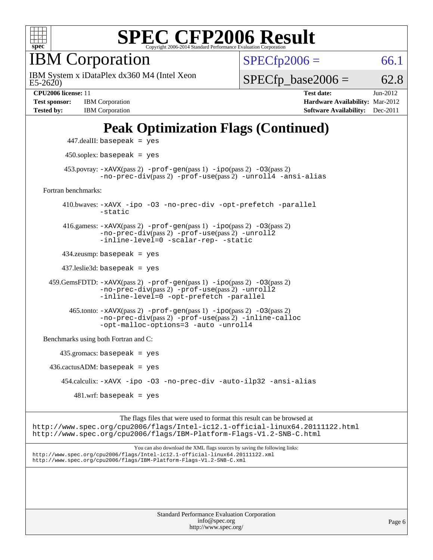

IBM Corporation

 $E5-2620$ IBM System x iDataPlex dx360 M4 (Intel Xeon  $SPECfp2006 = 66.1$  $SPECfp2006 = 66.1$ 

 $SPECTp\_base2006 = 62.8$ 

**[Test sponsor:](http://www.spec.org/auto/cpu2006/Docs/result-fields.html#Testsponsor)** IBM Corporation **[Hardware Availability:](http://www.spec.org/auto/cpu2006/Docs/result-fields.html#HardwareAvailability)** Mar-2012

**[CPU2006 license:](http://www.spec.org/auto/cpu2006/Docs/result-fields.html#CPU2006license)** 11 **[Test date:](http://www.spec.org/auto/cpu2006/Docs/result-fields.html#Testdate)** Jun-2012 **[Tested by:](http://www.spec.org/auto/cpu2006/Docs/result-fields.html#Testedby)** IBM Corporation **[Software Availability:](http://www.spec.org/auto/cpu2006/Docs/result-fields.html#SoftwareAvailability)** Dec-2011

### **[Peak Optimization Flags \(Continued\)](http://www.spec.org/auto/cpu2006/Docs/result-fields.html#PeakOptimizationFlags)**

 447.dealII: basepeak = yes 450.soplex: basepeak = yes 453.povray:  $-x$ AVX(pass 2)  $-p$ rof-gen(pass 1)  $-i$ po(pass 2)  $-03$ (pass 2) [-no-prec-div](http://www.spec.org/cpu2006/results/res2012q3/cpu2006-20120628-23205.flags.html#user_peakPASS2_CXXFLAGSPASS2_LDFLAGS453_povray_f-no-prec-div)(pass 2) [-prof-use](http://www.spec.org/cpu2006/results/res2012q3/cpu2006-20120628-23205.flags.html#user_peakPASS2_CXXFLAGSPASS2_LDFLAGS453_povray_prof_use_bccf7792157ff70d64e32fe3e1250b55)(pass 2) [-unroll4](http://www.spec.org/cpu2006/results/res2012q3/cpu2006-20120628-23205.flags.html#user_peakCXXOPTIMIZE453_povray_f-unroll_4e5e4ed65b7fd20bdcd365bec371b81f) [-ansi-alias](http://www.spec.org/cpu2006/results/res2012q3/cpu2006-20120628-23205.flags.html#user_peakCXXOPTIMIZE453_povray_f-ansi-alias) [Fortran benchmarks](http://www.spec.org/auto/cpu2006/Docs/result-fields.html#Fortranbenchmarks): 410.bwaves: [-xAVX](http://www.spec.org/cpu2006/results/res2012q3/cpu2006-20120628-23205.flags.html#user_peakOPTIMIZE410_bwaves_f-xAVX) [-ipo](http://www.spec.org/cpu2006/results/res2012q3/cpu2006-20120628-23205.flags.html#user_peakOPTIMIZE410_bwaves_f-ipo) [-O3](http://www.spec.org/cpu2006/results/res2012q3/cpu2006-20120628-23205.flags.html#user_peakOPTIMIZE410_bwaves_f-O3) [-no-prec-div](http://www.spec.org/cpu2006/results/res2012q3/cpu2006-20120628-23205.flags.html#user_peakOPTIMIZE410_bwaves_f-no-prec-div) [-opt-prefetch](http://www.spec.org/cpu2006/results/res2012q3/cpu2006-20120628-23205.flags.html#user_peakOPTIMIZE410_bwaves_f-opt-prefetch) [-parallel](http://www.spec.org/cpu2006/results/res2012q3/cpu2006-20120628-23205.flags.html#user_peakOPTIMIZE410_bwaves_f-parallel) [-static](http://www.spec.org/cpu2006/results/res2012q3/cpu2006-20120628-23205.flags.html#user_peakOPTIMIZE410_bwaves_f-static) 416.gamess: [-xAVX](http://www.spec.org/cpu2006/results/res2012q3/cpu2006-20120628-23205.flags.html#user_peakPASS2_FFLAGSPASS2_LDFLAGS416_gamess_f-xAVX)(pass 2) [-prof-gen](http://www.spec.org/cpu2006/results/res2012q3/cpu2006-20120628-23205.flags.html#user_peakPASS1_FFLAGSPASS1_LDFLAGS416_gamess_prof_gen_e43856698f6ca7b7e442dfd80e94a8fc)(pass 1) [-ipo](http://www.spec.org/cpu2006/results/res2012q3/cpu2006-20120628-23205.flags.html#user_peakPASS2_FFLAGSPASS2_LDFLAGS416_gamess_f-ipo)(pass 2) [-O3](http://www.spec.org/cpu2006/results/res2012q3/cpu2006-20120628-23205.flags.html#user_peakPASS2_FFLAGSPASS2_LDFLAGS416_gamess_f-O3)(pass 2) [-no-prec-div](http://www.spec.org/cpu2006/results/res2012q3/cpu2006-20120628-23205.flags.html#user_peakPASS2_FFLAGSPASS2_LDFLAGS416_gamess_f-no-prec-div)(pass 2) [-prof-use](http://www.spec.org/cpu2006/results/res2012q3/cpu2006-20120628-23205.flags.html#user_peakPASS2_FFLAGSPASS2_LDFLAGS416_gamess_prof_use_bccf7792157ff70d64e32fe3e1250b55)(pass 2) [-unroll2](http://www.spec.org/cpu2006/results/res2012q3/cpu2006-20120628-23205.flags.html#user_peakOPTIMIZE416_gamess_f-unroll_784dae83bebfb236979b41d2422d7ec2) [-inline-level=0](http://www.spec.org/cpu2006/results/res2012q3/cpu2006-20120628-23205.flags.html#user_peakOPTIMIZE416_gamess_f-inline-level_318d07a09274ad25e8d15dbfaa68ba50) [-scalar-rep-](http://www.spec.org/cpu2006/results/res2012q3/cpu2006-20120628-23205.flags.html#user_peakOPTIMIZE416_gamess_f-disablescalarrep_abbcad04450fb118e4809c81d83c8a1d) [-static](http://www.spec.org/cpu2006/results/res2012q3/cpu2006-20120628-23205.flags.html#user_peakOPTIMIZE416_gamess_f-static) 434.zeusmp: basepeak = yes 437.leslie3d: basepeak = yes 459.GemsFDTD: [-xAVX](http://www.spec.org/cpu2006/results/res2012q3/cpu2006-20120628-23205.flags.html#user_peakPASS2_FFLAGSPASS2_LDFLAGS459_GemsFDTD_f-xAVX)(pass 2) [-prof-gen](http://www.spec.org/cpu2006/results/res2012q3/cpu2006-20120628-23205.flags.html#user_peakPASS1_FFLAGSPASS1_LDFLAGS459_GemsFDTD_prof_gen_e43856698f6ca7b7e442dfd80e94a8fc)(pass 1) [-ipo](http://www.spec.org/cpu2006/results/res2012q3/cpu2006-20120628-23205.flags.html#user_peakPASS2_FFLAGSPASS2_LDFLAGS459_GemsFDTD_f-ipo)(pass 2) [-O3](http://www.spec.org/cpu2006/results/res2012q3/cpu2006-20120628-23205.flags.html#user_peakPASS2_FFLAGSPASS2_LDFLAGS459_GemsFDTD_f-O3)(pass 2) [-no-prec-div](http://www.spec.org/cpu2006/results/res2012q3/cpu2006-20120628-23205.flags.html#user_peakPASS2_FFLAGSPASS2_LDFLAGS459_GemsFDTD_f-no-prec-div)(pass 2) [-prof-use](http://www.spec.org/cpu2006/results/res2012q3/cpu2006-20120628-23205.flags.html#user_peakPASS2_FFLAGSPASS2_LDFLAGS459_GemsFDTD_prof_use_bccf7792157ff70d64e32fe3e1250b55)(pass 2) [-unroll2](http://www.spec.org/cpu2006/results/res2012q3/cpu2006-20120628-23205.flags.html#user_peakOPTIMIZE459_GemsFDTD_f-unroll_784dae83bebfb236979b41d2422d7ec2) [-inline-level=0](http://www.spec.org/cpu2006/results/res2012q3/cpu2006-20120628-23205.flags.html#user_peakOPTIMIZE459_GemsFDTD_f-inline-level_318d07a09274ad25e8d15dbfaa68ba50) [-opt-prefetch](http://www.spec.org/cpu2006/results/res2012q3/cpu2006-20120628-23205.flags.html#user_peakOPTIMIZE459_GemsFDTD_f-opt-prefetch) [-parallel](http://www.spec.org/cpu2006/results/res2012q3/cpu2006-20120628-23205.flags.html#user_peakOPTIMIZE459_GemsFDTD_f-parallel)  $465$ .tonto:  $-x$ AVX(pass 2)  $-p$ rof-gen(pass 1)  $-p$ o(pass 2)  $-03$ (pass 2) [-no-prec-div](http://www.spec.org/cpu2006/results/res2012q3/cpu2006-20120628-23205.flags.html#user_peakPASS2_FFLAGSPASS2_LDFLAGS465_tonto_f-no-prec-div)(pass 2) [-prof-use](http://www.spec.org/cpu2006/results/res2012q3/cpu2006-20120628-23205.flags.html#user_peakPASS2_FFLAGSPASS2_LDFLAGS465_tonto_prof_use_bccf7792157ff70d64e32fe3e1250b55)(pass 2) [-inline-calloc](http://www.spec.org/cpu2006/results/res2012q3/cpu2006-20120628-23205.flags.html#user_peakOPTIMIZE465_tonto_f-inline-calloc) [-opt-malloc-options=3](http://www.spec.org/cpu2006/results/res2012q3/cpu2006-20120628-23205.flags.html#user_peakOPTIMIZE465_tonto_f-opt-malloc-options_13ab9b803cf986b4ee62f0a5998c2238) [-auto](http://www.spec.org/cpu2006/results/res2012q3/cpu2006-20120628-23205.flags.html#user_peakOPTIMIZE465_tonto_f-auto) [-unroll4](http://www.spec.org/cpu2006/results/res2012q3/cpu2006-20120628-23205.flags.html#user_peakOPTIMIZE465_tonto_f-unroll_4e5e4ed65b7fd20bdcd365bec371b81f) [Benchmarks using both Fortran and C](http://www.spec.org/auto/cpu2006/Docs/result-fields.html#BenchmarksusingbothFortranandC): 435.gromacs: basepeak = yes  $436.cactusADM:basepeak = yes$  454.calculix: [-xAVX](http://www.spec.org/cpu2006/results/res2012q3/cpu2006-20120628-23205.flags.html#user_peakOPTIMIZE454_calculix_f-xAVX) [-ipo](http://www.spec.org/cpu2006/results/res2012q3/cpu2006-20120628-23205.flags.html#user_peakOPTIMIZE454_calculix_f-ipo) [-O3](http://www.spec.org/cpu2006/results/res2012q3/cpu2006-20120628-23205.flags.html#user_peakOPTIMIZE454_calculix_f-O3) [-no-prec-div](http://www.spec.org/cpu2006/results/res2012q3/cpu2006-20120628-23205.flags.html#user_peakOPTIMIZE454_calculix_f-no-prec-div) [-auto-ilp32](http://www.spec.org/cpu2006/results/res2012q3/cpu2006-20120628-23205.flags.html#user_peakCOPTIMIZE454_calculix_f-auto-ilp32) [-ansi-alias](http://www.spec.org/cpu2006/results/res2012q3/cpu2006-20120628-23205.flags.html#user_peakCOPTIMIZE454_calculix_f-ansi-alias)  $481 \text{.m}$ : basepeak = yes

The flags files that were used to format this result can be browsed at <http://www.spec.org/cpu2006/flags/Intel-ic12.1-official-linux64.20111122.html> <http://www.spec.org/cpu2006/flags/IBM-Platform-Flags-V1.2-SNB-C.html>

You can also download the XML flags sources by saving the following links: <http://www.spec.org/cpu2006/flags/Intel-ic12.1-official-linux64.20111122.xml> <http://www.spec.org/cpu2006/flags/IBM-Platform-Flags-V1.2-SNB-C.xml>